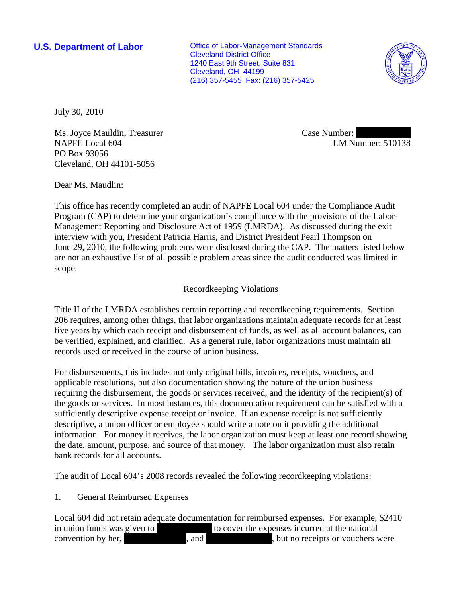**U.S. Department of Labor Conservative Conservative Conservative Conservative Conservative Conservative Conservative Conservative Conservative Conservative Conservative Conservative Conservative Conservative Conservative** Cleveland District Office 1240 East 9th Street, Suite 831 Cleveland, OH 44199 (216) 357-5455 Fax: (216) 357-5425



July 30, 2010

Ms. Joyce Mauldin, Treasurer NAPFE Local 604 PO Box 93056 Cleveland, OH 44101-5056

Case Number: LM Number: 510138

Dear Ms. Maudlin:

This office has recently completed an audit of NAPFE Local 604 under the Compliance Audit Program (CAP) to determine your organization's compliance with the provisions of the Labor-Management Reporting and Disclosure Act of 1959 (LMRDA). As discussed during the exit interview with you, President Patricia Harris, and District President Pearl Thompson on June 29, 2010, the following problems were disclosed during the CAP. The matters listed below are not an exhaustive list of all possible problem areas since the audit conducted was limited in scope.

# Recordkeeping Violations

Title II of the LMRDA establishes certain reporting and recordkeeping requirements. Section 206 requires, among other things, that labor organizations maintain adequate records for at least five years by which each receipt and disbursement of funds, as well as all account balances, can be verified, explained, and clarified. As a general rule, labor organizations must maintain all records used or received in the course of union business.

For disbursements, this includes not only original bills, invoices, receipts, vouchers, and applicable resolutions, but also documentation showing the nature of the union business requiring the disbursement, the goods or services received, and the identity of the recipient(s) of the goods or services. In most instances, this documentation requirement can be satisfied with a sufficiently descriptive expense receipt or invoice. If an expense receipt is not sufficiently descriptive, a union officer or employee should write a note on it providing the additional information. For money it receives, the labor organization must keep at least one record showing the date, amount, purpose, and source of that money. The labor organization must also retain bank records for all accounts.

The audit of Local 604's 2008 records revealed the following recordkeeping violations:

## 1. General Reimbursed Expenses

Local 604 did not retain adequate documentation for reimbursed expenses. For example, \$2410 in union funds was given to  $|$  to cover the expenses incurred at the national convention by her, and and  $\alpha$ , but no receipts or vouchers were